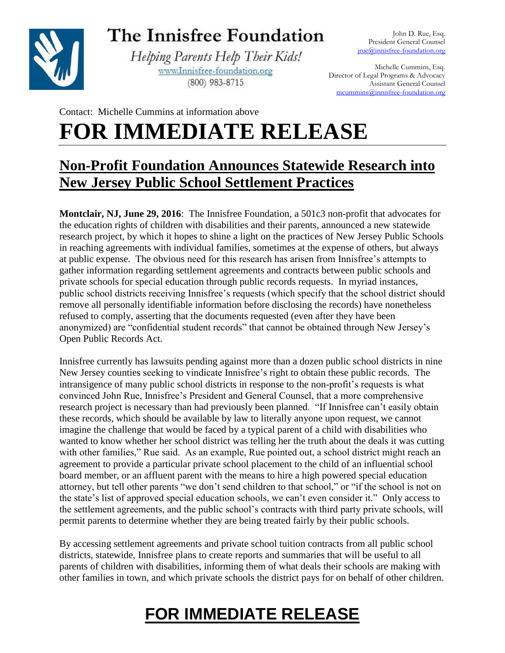

## The Innisfree Foundation

Helping Parents Help Their Kids! www.Innisfree-foundation.org (800) 983-8715

Michelle Cummins, Esq. Director of Legal Programs & Advocacy Assistant General Counsel [mcummins@innisfree-foundation.org](mailto:mcummins@innisfree-foundation.org)

Contact: Michelle Cummins at information above **FOR IMMEDIATE RELEASE**

#### **Non-Profit Foundation Announces Statewide Research into New Jersey Public School Settlement Practices**

**Montclair, NJ, June 29, 2016**: The Innisfree Foundation, a 501c3 non-profit that advocates for the education rights of children with disabilities and their parents, announced a new statewide research project, by which it hopes to shine a light on the practices of New Jersey Public Schools in reaching agreements with individual families, sometimes at the expense of others, but always at public expense. The obvious need for this research has arisen from Innisfree's attempts to gather information regarding settlement agreements and contracts between public schools and private schools for special education through public records requests. In myriad instances, public school districts receiving Innisfree's requests (which specify that the school district should remove all personally identifiable information before disclosing the records) have nonetheless refused to comply, asserting that the documents requested (even after they have been anonymized) are "confidential student records" that cannot be obtained through New Jersey's Open Public Records Act.

Innisfree currently has lawsuits pending against more than a dozen public school districts in nine New Jersey counties seeking to vindicate Innisfree's right to obtain these public records. The intransigence of many public school districts in response to the non-profit's requests is what convinced John Rue, Innisfree's President and General Counsel, that a more comprehensive research project is necessary than had previously been planned. "If Innisfree can't easily obtain these records, which should be available by law to literally anyone upon request, we cannot imagine the challenge that would be faced by a typical parent of a child with disabilities who wanted to know whether her school district was telling her the truth about the deals it was cutting with other families," Rue said. As an example, Rue pointed out, a school district might reach an agreement to provide a particular private school placement to the child of an influential school board member, or an affluent parent with the means to hire a high powered special education attorney, but tell other parents "we don't send children to that school," or "if the school is not on the state's list of approved special education schools, we can't even consider it." Only access to the settlement agreements, and the public school's contracts with third party private schools, will permit parents to determine whether they are being treated fairly by their public schools.

By accessing settlement agreements and private school tuition contracts from all public school districts, statewide, Innisfree plans to create reports and summaries that will be useful to all parents of children with disabilities, informing them of what deals their schools are making with other families in town, and which private schools the district pays for on behalf of other children.

# **FOR IMMEDIATE RELEASE**